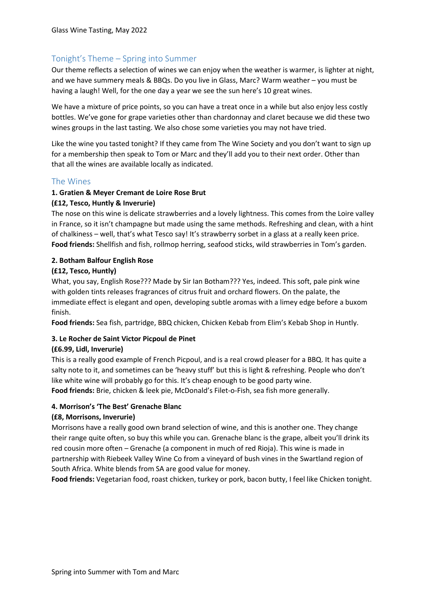# Tonight's Theme – Spring into Summer

Our theme reflects a selection of wines we can enjoy when the weather is warmer, is lighter at night, and we have summery meals & BBQs. Do you live in Glass, Marc? Warm weather – you must be having a laugh! Well, for the one day a year we see the sun here's 10 great wines.

We have a mixture of price points, so you can have a treat once in a while but also enjoy less costly bottles. We've gone for grape varieties other than chardonnay and claret because we did these two wines groups in the last tasting. We also chose some varieties you may not have tried.

Like the wine you tasted tonight? If they came from The Wine Society and you don't want to sign up for a membership then speak to Tom or Marc and they'll add you to their next order. Other than that all the wines are available locally as indicated.

# The Wines

### **1. Gratien & Meyer Cremant de Loire Rose Brut**

### **(£12, Tesco, Huntly & Inverurie)**

The nose on this wine is delicate strawberries and a lovely lightness. This comes from the Loire valley in France, so it isn't champagne but made using the same methods. Refreshing and clean, with a hint of chalkiness – well, that's what Tesco say! It's strawberry sorbet in a glass at a really keen price. **Food friends:** Shellfish and fish, rollmop herring, seafood sticks, wild strawberries in Tom's garden.

# **2. Botham Balfour English Rose**

### **(£12, Tesco, Huntly)**

What, you say, English Rose??? Made by Sir Ian Botham??? Yes, indeed. This soft, pale pink wine with golden tints releases fragrances of citrus fruit and orchard flowers. On the palate, the immediate effect is elegant and open, developing subtle aromas with a limey edge before a buxom finish.

**Food friends:** Sea fish, partridge, BBQ chicken, Chicken Kebab from Elim's Kebab Shop in Huntly.

# **3. Le Rocher de Saint Victor Picpoul de Pinet**

# **(£6.99, Lidl, Inverurie)**

This is a really good example of French Picpoul, and is a real crowd pleaser for a BBQ. It has quite a salty note to it, and sometimes can be 'heavy stuff' but this is light & refreshing. People who don't like white wine will probably go for this. It's cheap enough to be good party wine.

**Food friends:** Brie, chicken & leek pie, McDonald's Filet-o-Fish, sea fish more generally.

#### **4. Morrison's 'The Best' Grenache Blanc**

#### **(£8, Morrisons, Inverurie)**

Morrisons have a really good own brand selection of wine, and this is another one. They change their range quite often, so buy this while you can. Grenache blanc is the grape, albeit you'll drink its red cousin more often – Grenache (a component in much of red Rioja). This wine is made in partnership with Riebeek Valley Wine Co from a vineyard of bush vines in the Swartland region of South Africa. White blends from SA are good value for money.

**Food friends:** Vegetarian food, roast chicken, turkey or pork, bacon butty, I feel like Chicken tonight.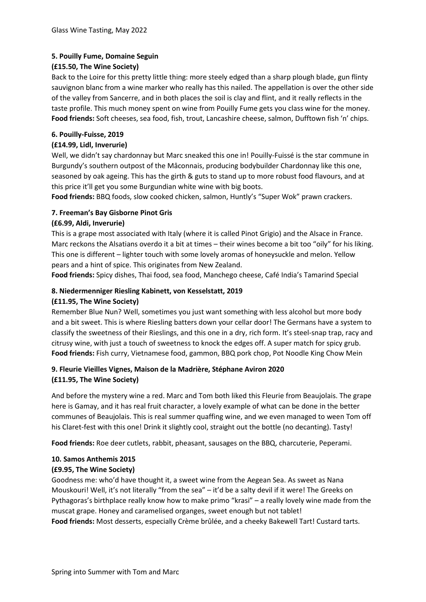# **5. Pouilly Fume, Domaine Seguin**

## **(£15.50, The Wine Society)**

Back to the Loire for this pretty little thing: more steely edged than a sharp plough blade, gun flinty sauvignon blanc from a wine marker who really has this nailed. The appellation is over the other side of the valley from Sancerre, and in both places the soil is clay and flint, and it really reflects in the taste profile. This much money spent on wine from Pouilly Fume gets you class wine for the money. **Food friends:** Soft cheeses, sea food, fish, trout, Lancashire cheese, salmon, Dufftown fish 'n' chips.

### **6. Pouilly-Fuisse, 2019**

## **(£14.99, Lidl, Inverurie)**

Well, we didn't say chardonnay but Marc sneaked this one in! Pouilly-Fuissé is the star commune in Burgundy's southern outpost of the Mâconnais, producing bodybuilder Chardonnay like this one, seasoned by oak ageing. This has the girth & guts to stand up to more robust food flavours, and at this price it'll get you some Burgundian white wine with big boots.

**Food friends:** BBQ foods, slow cooked chicken, salmon, Huntly's "Super Wok" prawn crackers.

# **7. Freeman's Bay Gisborne Pinot Gris**

### **(£6.99, Aldi, Inverurie)**

This is a grape most associated with Italy (where it is called Pinot Grigio) and the Alsace in France. Marc reckons the Alsatians overdo it a bit at times – their wines become a bit too "oily" for his liking. This one is different – lighter touch with some lovely aromas of honeysuckle and melon. Yellow pears and a hint of spice. This originates from New Zealand.

**Food friends:** Spicy dishes, Thai food, sea food, Manchego cheese, Café India's Tamarind Special

#### **8. Niedermenniger Riesling Kabinett, von Kesselstatt, 2019 (£11.95, The Wine Society)**

Remember Blue Nun? Well, sometimes you just want something with less alcohol but more body and a bit sweet. This is where Riesling batters down your cellar door! The Germans have a system to classify the sweetness of their Rieslings, and this one in a dry, rich form. It's steel-snap trap, racy and citrusy wine, with just a touch of sweetness to knock the edges off. A super match for spicy grub. **Food friends:** Fish curry, Vietnamese food, gammon, BBQ pork chop, Pot Noodle King Chow Mein

# **9. Fleurie Vieilles Vignes, Maison de la Madrière, Stéphane Aviron 2020 (£11.95, The Wine Society)**

And before the mystery wine a red. Marc and Tom both liked this Fleurie from Beaujolais. The grape here is Gamay, and it has real fruit character, a lovely example of what can be done in the better communes of Beaujolais. This is real summer quaffing wine, and we even managed to ween Tom off his Claret-fest with this one! Drink it slightly cool, straight out the bottle (no decanting). Tasty!

**Food friends:** Roe deer cutlets, rabbit, pheasant, sausages on the BBQ, charcuterie, Peperami.

#### **10. Samos Anthemis 2015**

# **(£9.95, The Wine Society)**

Goodness me: who'd have thought it, a sweet wine from the Aegean Sea. As sweet as Nana Mouskouri! Well, it's not literally "from the sea" – it'd be a salty devil if it were! The Greeks on Pythagoras's birthplace really know how to make primo "krasi" – a really lovely wine made from the muscat grape. Honey and caramelised organges, sweet enough but not tablet! **Food friends:** Most desserts, especially Crème brûlée, and a cheeky Bakewell Tart! Custard tarts.